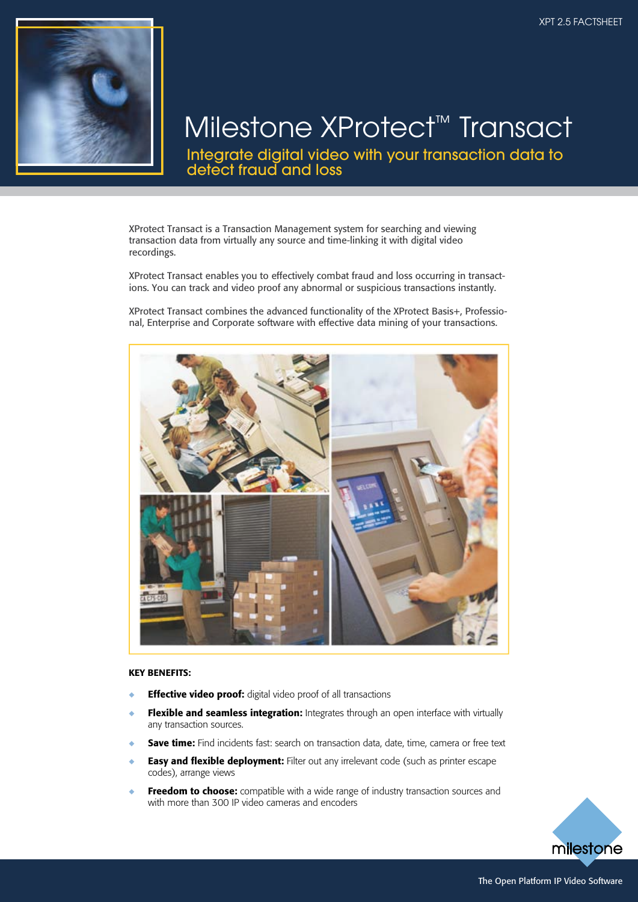

# Milestone XProtect™ Transact

Integrate digital video with your transaction data to detect fraud and loss

XProtect Transact is a Transaction Management system for searching and viewing transaction data from virtually any source and time-linking it with digital video recordings.

XProtect Transact enables you to effectively combat fraud and loss occurring in transactions. You can track and video proof any abnormal or suspicious transactions instantly.

XProtect Transact combines the advanced functionality of the XProtect Basis+, Professional, Enterprise and Corporate software with effective data mining of your transactions.



#### KEY BENEFITS:

- **Effective video proof:** digital video proof of all transactions
- Flexible and seamless integration: Integrates through an open interface with virtually any transaction sources.
- Save time: Find incidents fast: search on transaction data, date, time, camera or free text
- Easy and flexible deployment: Filter out any irrelevant code (such as printer escape codes), arrange views
- Freedom to choose: compatible with a wide range of industry transaction sources and with more than 300 IP video cameras and encoders

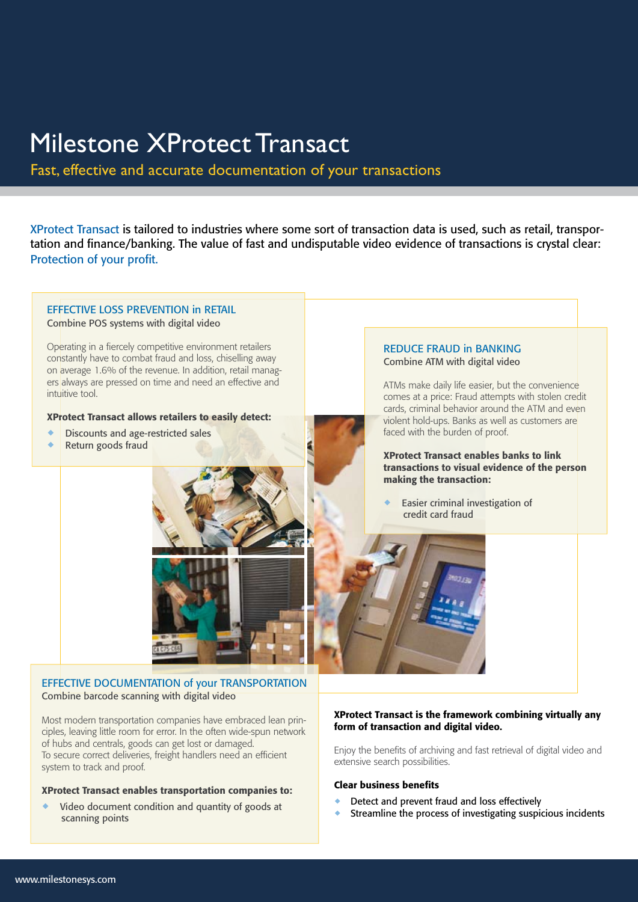# Milestone XProtect Transact

Fast, effective and accurate documentation of your transactions

XProtect Transact is tailored to industries where some sort of transaction data is used, such as retail, transportation and finance/banking. The value of fast and undisputable video evidence of transactions is crystal clear: Protection of your profit.

EFFECTIVE LOSS PREVENTION in RETAIL Combine POS systems with digital video Operating in a fiercely competitive environment retailers

constantly have to combat fraud and loss, chiselling away on average 1.6% of the revenue. In addition, retail managers always are pressed on time and need an effective and intuitive tool.

#### XProtect Transact allows retailers to easily detect:

- Discounts and age-restricted sales
- Return goods fraud

#### REDUCE FRAUD in BANKING Combine ATM with digital video

ATMs make daily life easier, but the convenience comes at a price: Fraud attempts with stolen credit cards, criminal behavior around the ATM and even violent hold-ups. Banks as well as customers are faced with the burden of proof.

XProtect Transact enables banks to link transactions to visual evidence of the person making the transaction:

Easier criminal investigation of credit card fraud



# EFFECTIVE DOCUMENTATION of your TRANSPORTATION Combine barcode scanning with digital video

Most modern transportation companies have embraced lean principles, leaving little room for error. In the often wide-spun network of hubs and centrals, goods can get lost or damaged. To secure correct deliveries, freight handlers need an efficient system to track and proof.

#### XProtect Transact enables transportation companies to:

Video document condition and quantity of goods at scanning points

#### XProtect Transact is the framework combining virtually any form of transaction and digital video.

Enjoy the benefits of archiving and fast retrieval of digital video and extensive search possibilities.

#### Clear business benefits

- Detect and prevent fraud and loss effectively
- Streamline the process of investigating suspicious incidents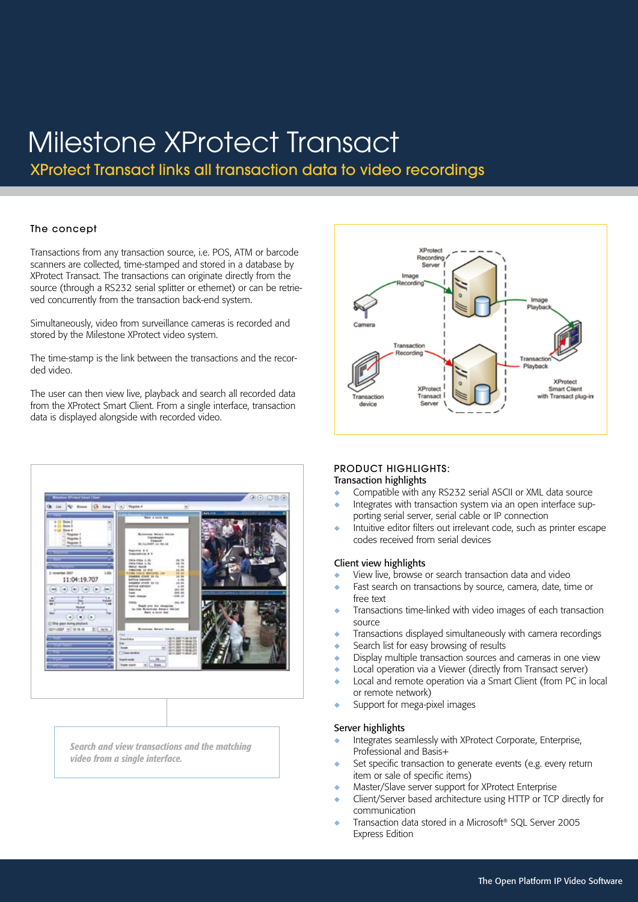# Milestone XProtect Transact

XProtect Transact links all transaction data to video recordings

# The concept

Transactions from any transaction source, i.e. POS, ATM or barcode scanners are collected, time-stamped and stored in a database by XProtect Transact. The transactions can originate directly from the source (through a RS232 serial splitter or ethernet) or can be retrieved concurrently from the transaction back-end system.

Simultaneously, video from surveillance cameras is recorded and stored by the Milestone XProtect video system.

The time-stamp is the link between the transactions and the recorded video.

The user can then view live, playback and search all recorded data from the XProtect Smart Client. From a single interface, transaction data is displayed alongside with recorded video.





*Search and view transactions and the matching video from a single interface.*

#### PRODUCT HIGHLIGHTS: Transaction highlights

- Compatible with any RS232 serial ASCII or XML data source
- Integrates with transaction system via an open interface supporting serial server, serial cable or IP connection
- Intuitive editor filters out irrelevant code, such as printer escape codes received from serial devices

#### Client view highlights

- View live, browse or search transaction data and video
- Fast search on transactions by source, camera, date, time or free text
- Transactions time-linked with video images of each transaction source
- ◆ Transactions displayed simultaneously with camera recordings
- Search list for easy browsing of results
- Display multiple transaction sources and cameras in one view
- ◆ Local operation via a Viewer (directly from Transact server)
- ◆ Local and remote operation via a Smart Client (from PC in local or remote network)
- ◆ Support for mega-pixel images

#### Server highlights

- Integrates seamlessly with XProtect Corporate, Enterprise, Professional and Basis+
- Set specific transaction to generate events (e.g. every return item or sale of specific items)
- ◆ Master/Slave server support for XProtect Enterprise
- Client/Server based architecture using HTTP or TCP directly for communication
- Transaction data stored in a Microsoft® SQL Server 2005 Express Edition